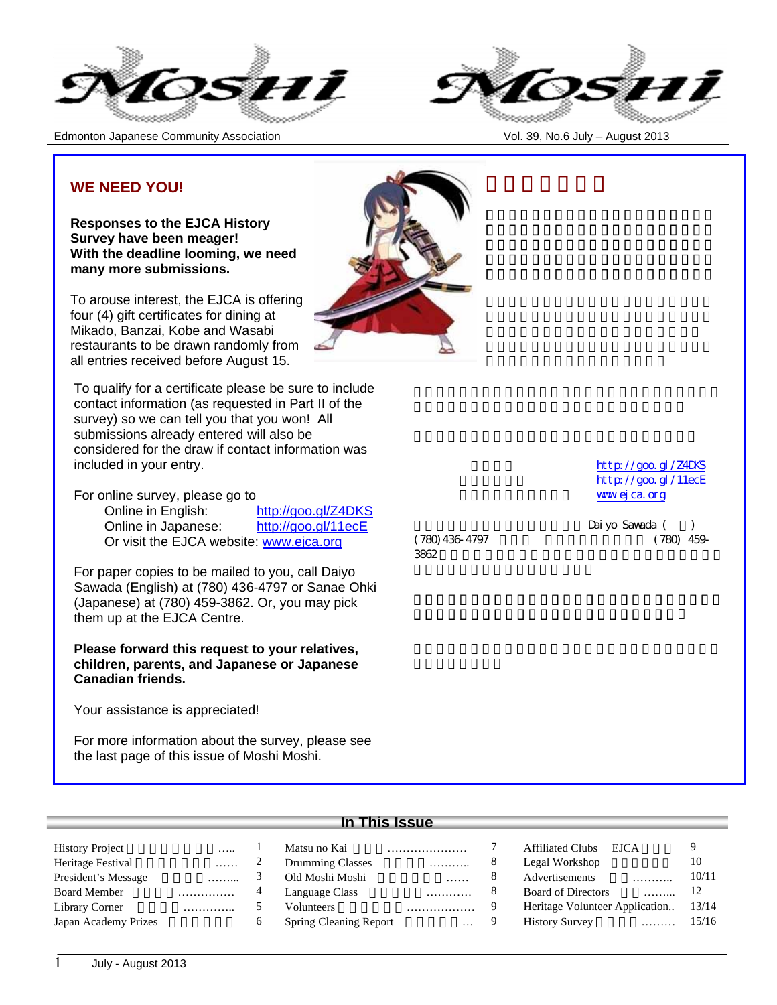

Edmonton Japanese Community Association Vol. 39, No.6 July – August 2013



## **WE NEED YOU!**

**Responses to the EJCA History Survey have been meager! With the deadline looming, we need many more submissions.**

To arouse interest, the EJCA is offering four (4) gift certificates for dining at Mikado, Banzai, Kobe and Wasabi restaurants to be drawn randomly from all entries received before August 15.

To qualify for a certificate please be sure to include contact information (as requested in Part II of the survey) so we can tell you that you won! All submissions already entered will also be considered for the draw if contact information was included in your entry.

For online survey, please go to

Online in English: http://goo.gl/Z4DKS Online in Japanese: http://goo.gl/11ecE Or visit the EJCA website: www.ejca.org

For paper copies to be mailed to you, call Daiyo Sawada (English) at (780) 436-4797 or Sanae Ohki (Japanese) at (780) 459-3862. Or, you may pick them up at the EJCA Centre.

**Please forward this request to your relatives, children, parents, and Japanese or Japanese Canadian friends.**

Your assistance is appreciated!

For more information about the survey, please see the last page of this issue of Moshi Moshi.



http://goo.gl/Z4DKS http://goo.gl/11ecE www.ejca.org

 $3862$ 

Daiyo Sawada ( (780) 436-4797 (780) 459-

| <b>History Project</b> |  |
|------------------------|--|
| Heritage Festival      |  |
| President's Message    |  |
| <b>Board Member</b>    |  |
| Library Corner         |  |
| Japan Academy Prizes   |  |

## **In This Issue**

| <b>History Project</b> |   | Matsu no Kai                  |          |   | <b>Affiliated Clubs</b><br>EJCA |       |
|------------------------|---|-------------------------------|----------|---|---------------------------------|-------|
| Heritage Festival      | . | <b>Drumming Classes</b>       | .        |   | Legal Workshop                  | 10    |
| President's Message    | . | Old Moshi Moshi               | .        |   | Advertisements<br>.             | 10/11 |
| <b>Board Member</b>    | . | Language Class                | .        |   | <b>Board of Directors</b>       | 12    |
| Library Corner         | . | Volunteers                    | .        |   | Heritage Volunteer Application  | 13/14 |
| Japan Academy Prizes   |   | <b>Spring Cleaning Report</b> | $\cdots$ | 9 | <b>History Survey</b><br>.      | 15/16 |
|                        |   |                               |          |   |                                 |       |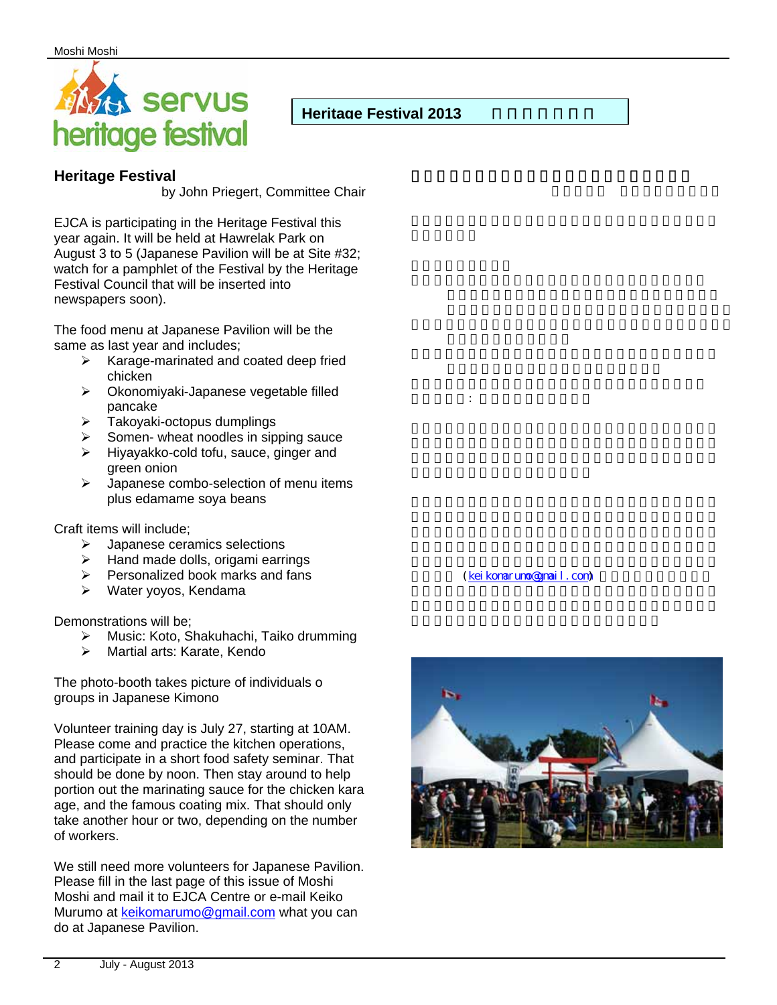

## **Heritage Festival 2013**

## **Heritage Festival**

by John Priegert, Committee Chair

EJCA is participating in the Heritage Festival this year again. It will be held at Hawrelak Park on August 3 to 5 (Japanese Pavilion will be at Site #32; watch for a pamphlet of the Festival by the Heritage Festival Council that will be inserted into newspapers soon).

The food menu at Japanese Pavilion will be the same as last year and includes;

- $\triangleright$  Karage-marinated and coated deep fried chicken
- Okonomiyaki-Japanese vegetable filled pancake
- $\triangleright$  Takoyaki-octopus dumplings
- Somen- wheat noodles in sipping sauce
- $\triangleright$  Hiyayakko-cold tofu, sauce, ginger and green onion
- $\triangleright$  Japanese combo-selection of menu items plus edamame soya beans

Craft items will include;

- Japanese ceramics selections
- $\triangleright$  Hand made dolls, origami earrings
- $\triangleright$  Personalized book marks and fans
- Water yoyos, Kendama

Demonstrations will be;

- Music: Koto, Shakuhachi, Taiko drumming
- > Martial arts: Karate, Kendo

The photo-booth takes picture of individuals o groups in Japanese Kimono

Volunteer training day is July 27, starting at 10AM. Please come and practice the kitchen operations, and participate in a short food safety seminar. That should be done by noon. Then stay around to help portion out the marinating sauce for the chicken kara age, and the famous coating mix. That should only take another hour or two, depending on the number of workers.

We still need more volunteers for Japanese Pavilion. Please fill in the last page of this issue of Moshi Moshi and mail it to EJCA Centre or e-mail Keiko Murumo at keikomarumo@gmail.com what you can do at Japanese Pavilion.

(kei komarumo@gmail.com)

写真ブース: 浴衣を着て写真を撮る

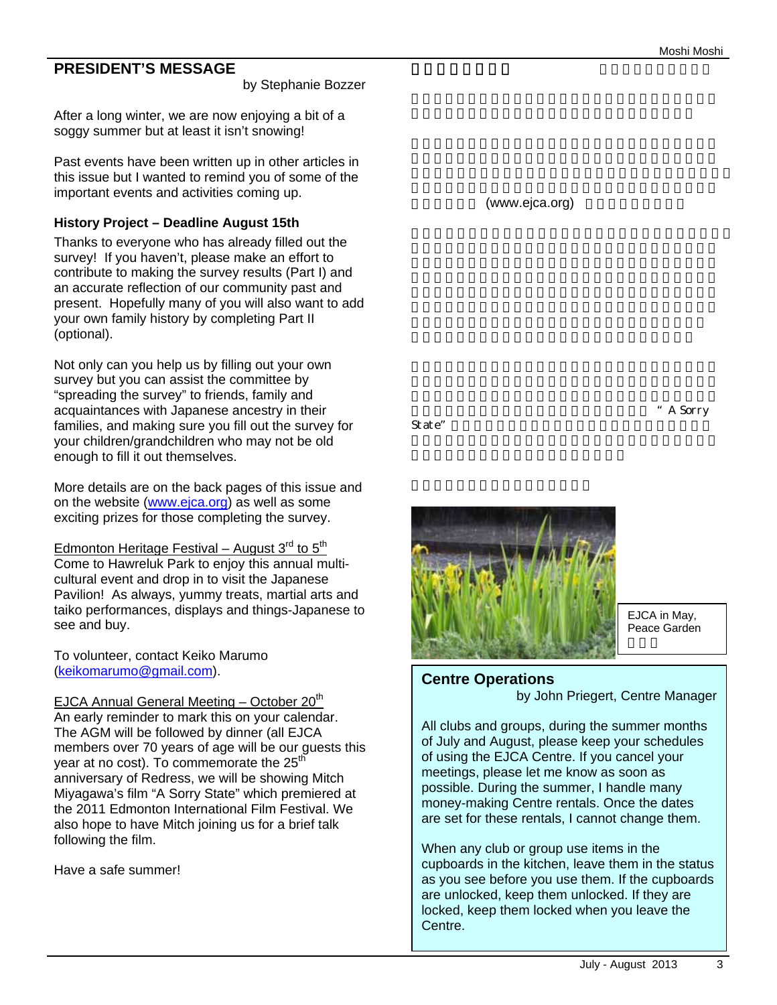## **PRESIDENT'S MESSAGE**

#### by Stephanie Bozzer

After a long winter, we are now enjoying a bit of a soggy summer but at least it isn't snowing!

Past events have been written up in other articles in this issue but I wanted to remind you of some of the important events and activities coming up.

## **History Project – Deadline August 15th**

Thanks to everyone who has already filled out the survey! If you haven't, please make an effort to contribute to making the survey results (Part I) and an accurate reflection of our community past and present. Hopefully many of you will also want to add your own family history by completing Part II (optional).

Not only can you help us by filling out your own survey but you can assist the committee by "spreading the survey" to friends, family and acquaintances with Japanese ancestry in their families, and making sure you fill out the survey for your children/grandchildren who may not be old enough to fill it out themselves.

More details are on the back pages of this issue and on the website (www.ejca.org) as well as some exciting prizes for those completing the survey.

Edmonton Heritage Festival – August  $3<sup>rd</sup>$  to  $5<sup>th</sup>$ Come to Hawreluk Park to enjoy this annual multicultural event and drop in to visit the Japanese Pavilion! As always, yummy treats, martial arts and taiko performances, displays and things-Japanese to see and buy.

To volunteer, contact Keiko Marumo (keikomarumo@gmail.com).

EJCA Annual General Meeting – October 20<sup>th</sup> An early reminder to mark this on your calendar. The AGM will be followed by dinner (all EJCA members over 70 years of age will be our guests this year at no cost). To commemorate the 25<sup>th</sup> anniversary of Redress, we will be showing Mitch Miyagawa's film "A Sorry State" which premiered at the 2011 Edmonton International Film Festival. We also hope to have Mitch joining us for a brief talk following the film.

Have a safe summer!

(www.ejca.org)

State"



EJCA in May, Peace Garden

A Sorry

## **Centre Operations**

by John Priegert, Centre Manager

All clubs and groups, during the summer months of July and August, please keep your schedules of using the EJCA Centre. If you cancel your meetings, please let me know as soon as possible. During the summer, I handle many money-making Centre rentals. Once the dates are set for these rentals, I cannot change them.

When any club or group use items in the cupboards in the kitchen, leave them in the status as you see before you use them. If the cupboards are unlocked, keep them unlocked. If they are locked, keep them locked when you leave the Centre.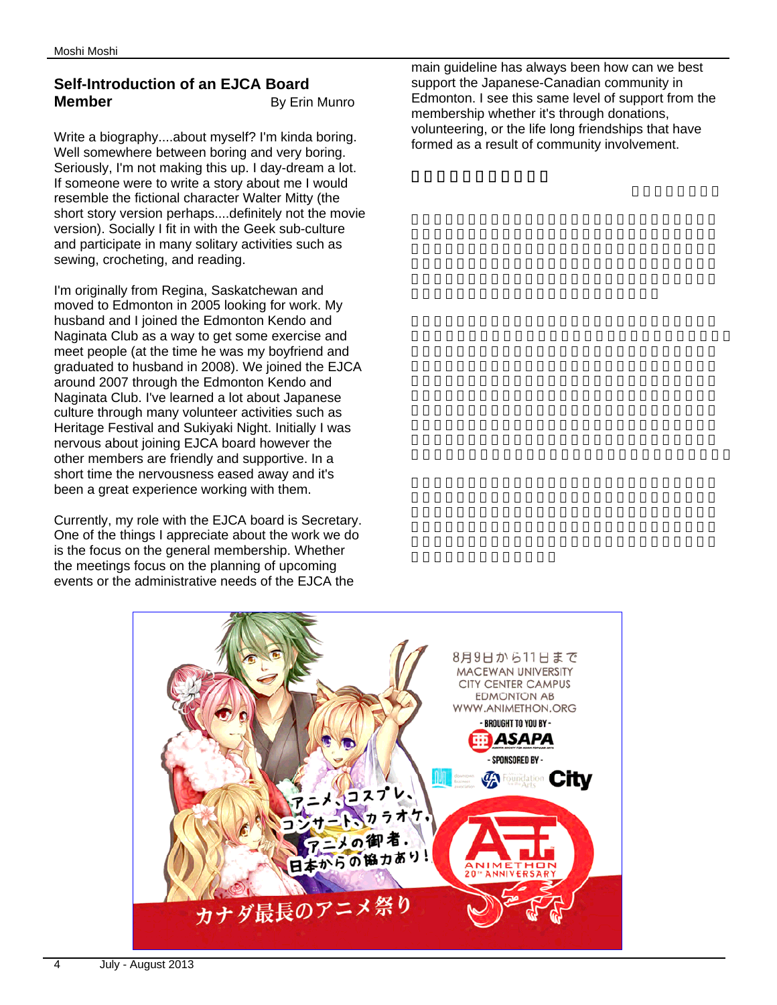## **Self-Introduction of an EJCA Board Member** By Erin Munro

Write a biography....about myself? I'm kinda boring. Well somewhere between boring and very boring. Seriously, I'm not making this up. I day-dream a lot. If someone were to write a story about me I would resemble the fictional character Walter Mitty (the short story version perhaps....definitely not the movie version). Socially I fit in with the Geek sub-culture and participate in many solitary activities such as sewing, crocheting, and reading.

I'm originally from Regina, Saskatchewan and moved to Edmonton in 2005 looking for work. My husband and I joined the Edmonton Kendo and Naginata Club as a way to get some exercise and meet people (at the time he was my boyfriend and graduated to husband in 2008). We joined the EJCA around 2007 through the Edmonton Kendo and Naginata Club. I've learned a lot about Japanese culture through many volunteer activities such as Heritage Festival and Sukiyaki Night. Initially I was nervous about joining EJCA board however the other members are friendly and supportive. In a short time the nervousness eased away and it's been a great experience working with them.

Currently, my role with the EJCA board is Secretary. One of the things I appreciate about the work we do is the focus on the general membership. Whether the meetings focus on the planning of upcoming events or the administrative needs of the EJCA the

main guideline has always been how can we best support the Japanese-Canadian community in Edmonton. I see this same level of support from the membership whether it's through donations. volunteering, or the life long friendships that have formed as a result of community involvement.

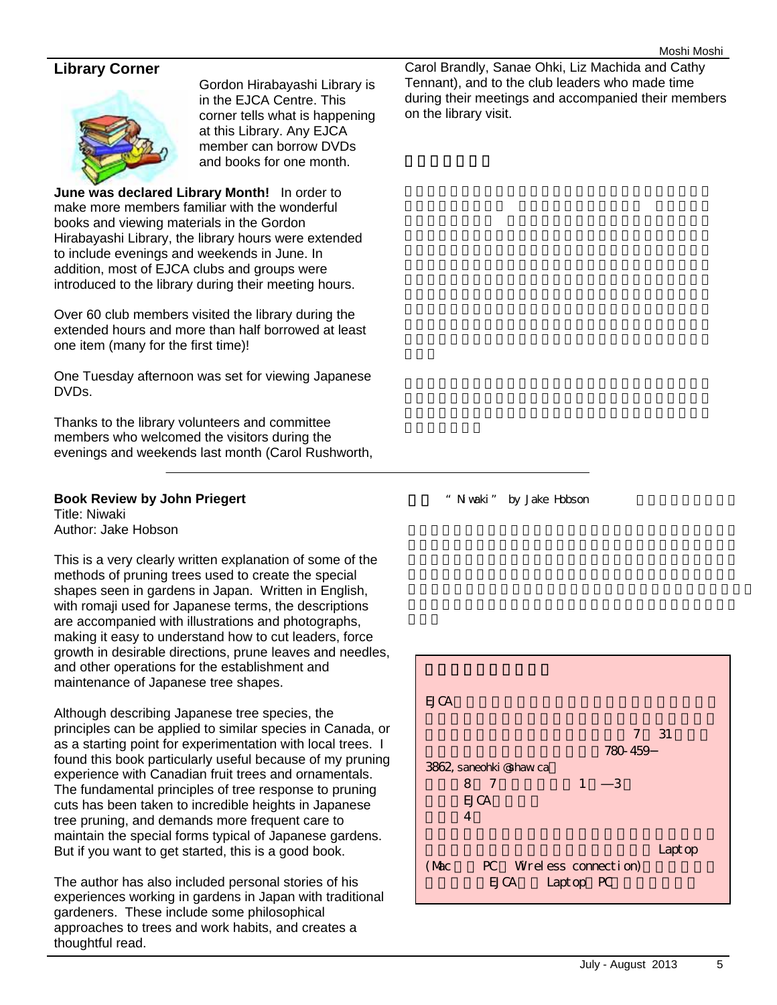## **Library Corner**



Gordon Hirabayashi Library is in the EJCA Centre. This corner tells what is happening at this Library. Any EJCA member can borrow DVDs and books for one month.

**June was declared Library Month!** In order to make more members familiar with the wonderful books and viewing materials in the Gordon Hirabayashi Library, the library hours were extended to include evenings and weekends in June. In addition, most of EJCA clubs and groups were introduced to the library during their meeting hours.

Over 60 club members visited the library during the extended hours and more than half borrowed at least one item (many for the first time)!

One Tuesday afternoon was set for viewing Japanese DVDs.

Thanks to the library volunteers and committee members who welcomed the visitors during the evenings and weekends last month (Carol Rushworth,

#### **Book Review by John Priegert**

Title: Niwaki Author: Jake Hobson

This is a very clearly written explanation of some of the methods of pruning trees used to create the special shapes seen in gardens in Japan. Written in English, with romaji used for Japanese terms, the descriptions are accompanied with illustrations and photographs, making it easy to understand how to cut leaders, force growth in desirable directions, prune leaves and needles, and other operations for the establishment and maintenance of Japanese tree shapes.

Although describing Japanese tree species, the principles can be applied to similar species in Canada, or as a starting point for experimentation with local trees. I found this book particularly useful because of my pruning experience with Canadian fruit trees and ornamentals. The fundamental principles of tree response to pruning cuts has been taken to incredible heights in Japanese tree pruning, and demands more frequent care to maintain the special forms typical of Japanese gardens. But if you want to get started, this is a good book.

The author has also included personal stories of his experiences working in gardens in Japan with traditional gardeners. These include some philosophical approaches to trees and work habits, and creates a thoughtful read.

Carol Brandly, Sanae Ohki, Liz Machida and Cathy Tennant), and to the club leaders who made time during their meetings and accompanied their members on the library visit.

" Niwaki" by Jake Hobson

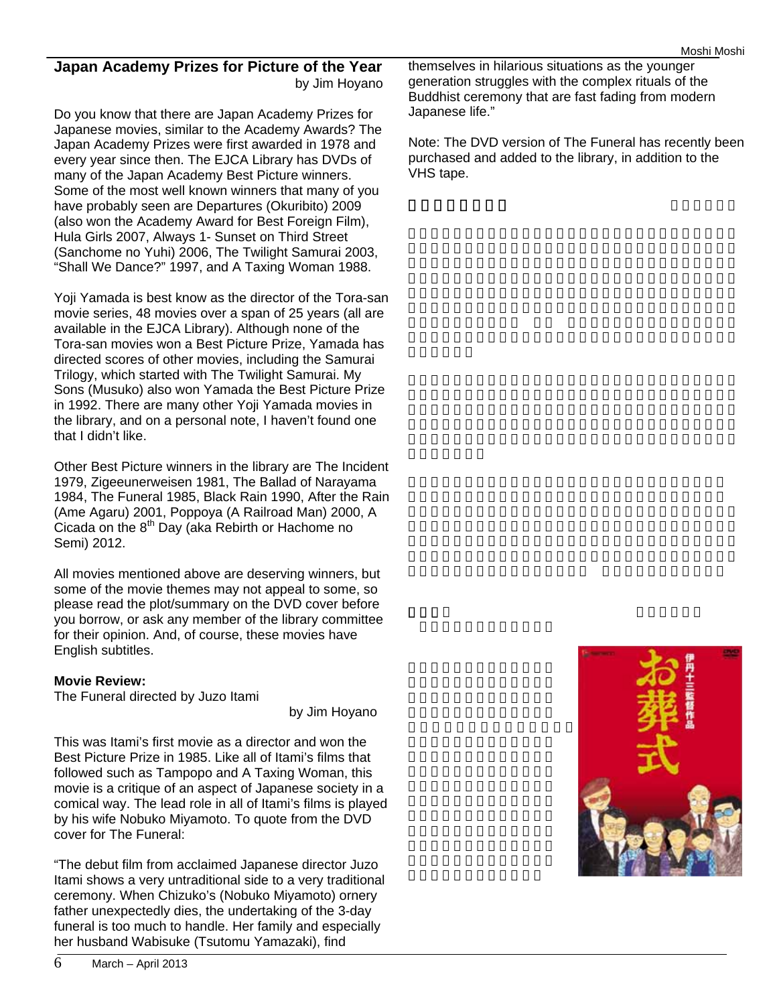## **Japan Academy Prizes for Picture of the Year**  by Jim Hoyano

Do you know that there are Japan Academy Prizes for Japanese movies, similar to the Academy Awards? The Japan Academy Prizes were first awarded in 1978 and every year since then. The EJCA Library has DVDs of many of the Japan Academy Best Picture winners. Some of the most well known winners that many of you have probably seen are Departures (Okuribito) 2009 (also won the Academy Award for Best Foreign Film), Hula Girls 2007, Always 1- Sunset on Third Street (Sanchome no Yuhi) 2006, The Twilight Samurai 2003, "Shall We Dance?" 1997, and A Taxing Woman 1988.

Yoji Yamada is best know as the director of the Tora-san movie series, 48 movies over a span of 25 years (all are available in the EJCA Library). Although none of the Tora-san movies won a Best Picture Prize, Yamada has directed scores of other movies, including the Samurai Trilogy, which started with The Twilight Samurai. My Sons (Musuko) also won Yamada the Best Picture Prize in 1992. There are many other Yoji Yamada movies in the library, and on a personal note, I haven't found one that I didn't like.

Other Best Picture winners in the library are The Incident 1979, Zigeeunerweisen 1981, The Ballad of Narayama 1984, The Funeral 1985, Black Rain 1990, After the Rain (Ame Agaru) 2001, Poppoya (A Railroad Man) 2000, A Cicada on the 8<sup>th</sup> Day (aka Rebirth or Hachome no Semi) 2012.

All movies mentioned above are deserving winners, but some of the movie themes may not appeal to some, so please read the plot/summary on the DVD cover before you borrow, or ask any member of the library committee for their opinion. And, of course, these movies have English subtitles.

## **Movie Review:**

The Funeral directed by Juzo Itami

by Jim Hoyano

This was Itami's first movie as a director and won the Best Picture Prize in 1985. Like all of Itami's films that followed such as Tampopo and A Taxing Woman, this movie is a critique of an aspect of Japanese society in a comical way. The lead role in all of Itami's films is played by his wife Nobuko Miyamoto. To quote from the DVD cover for The Funeral:

"The debut film from acclaimed Japanese director Juzo Itami shows a very untraditional side to a very traditional ceremony. When Chizuko's (Nobuko Miyamoto) ornery father unexpectedly dies, the undertaking of the 3-day funeral is too much to handle. Her family and especially her husband Wabisuke (Tsutomu Yamazaki), find

themselves in hilarious situations as the younger generation struggles with the complex rituals of the Buddhist ceremony that are fast fading from modern Japanese life."

Note: The DVD version of The Funeral has recently been purchased and added to the library, in addition to the VHS tape.

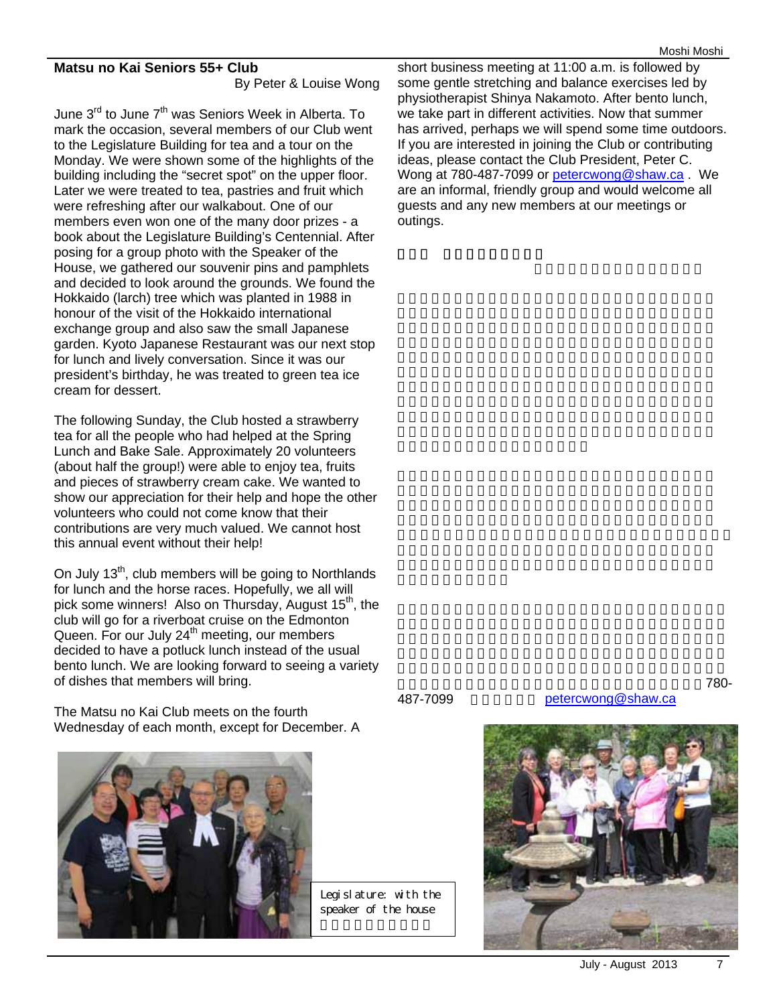#### **Matsu no Kai Seniors 55+ Club**

By Peter & Louise Wong

June 3<sup>rd</sup> to June 7<sup>th</sup> was Seniors Week in Alberta. To mark the occasion, several members of our Club went to the Legislature Building for tea and a tour on the Monday. We were shown some of the highlights of the building including the "secret spot" on the upper floor. Later we were treated to tea, pastries and fruit which were refreshing after our walkabout. One of our members even won one of the many door prizes - a book about the Legislature Building's Centennial. After posing for a group photo with the Speaker of the House, we gathered our souvenir pins and pamphlets and decided to look around the grounds. We found the Hokkaido (larch) tree which was planted in 1988 in honour of the visit of the Hokkaido international exchange group and also saw the small Japanese garden. Kyoto Japanese Restaurant was our next stop for lunch and lively conversation. Since it was our president's birthday, he was treated to green tea ice cream for dessert.

The following Sunday, the Club hosted a strawberry tea for all the people who had helped at the Spring Lunch and Bake Sale. Approximately 20 volunteers (about half the group!) were able to enjoy tea, fruits and pieces of strawberry cream cake. We wanted to show our appreciation for their help and hope the other volunteers who could not come know that their contributions are very much valued. We cannot host this annual event without their help!

On July  $13<sup>th</sup>$ , club members will be going to Northlands for lunch and the horse races. Hopefully, we all will pick some winners! Also on Thursday, August 15<sup>th</sup>, the club will go for a riverboat cruise on the Edmonton Queen. For our July  $24<sup>th</sup>$  meeting, our members decided to have a potluck lunch instead of the usual bento lunch. We are looking forward to seeing a variety of dishes that members will bring.

The Matsu no Kai Club meets on the fourth Wednesday of each month, except for December. A



short business meeting at 11:00 a.m. is followed by some gentle stretching and balance exercises led by physiotherapist Shinya Nakamoto. After bento lunch, we take part in different activities. Now that summer has arrived, perhaps we will spend some time outdoors. If you are interested in joining the Club or contributing ideas, please contact the Club President, Peter C. Wong at 780-487-7099 or petercwong@shaw.ca . We are an informal, friendly group and would welcome all guests and any new members at our meetings or outings.

望の方は会長のピーター・ワンまでご連絡ください(電話:780- 487-7099 petercwong@shaw.ca

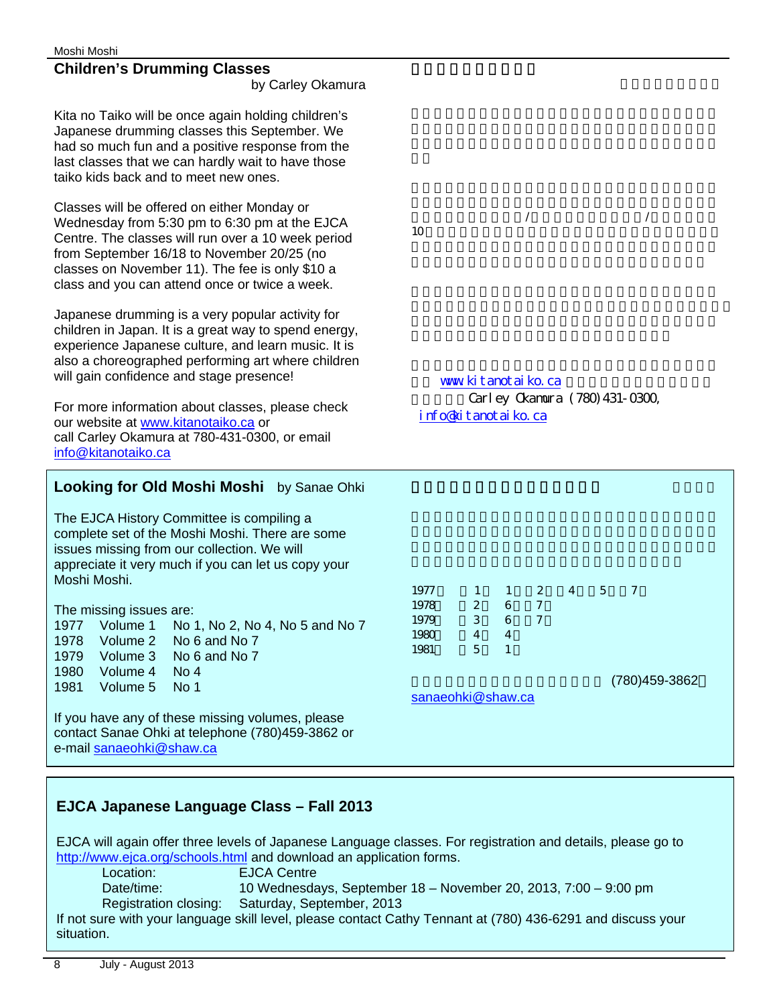## **Children's Drumming Classes**

by Carley Okamura

Kita no Taiko will be once again holding children's Japanese drumming classes this September. We had so much fun and a positive response from the last classes that we can hardly wait to have those taiko kids back and to meet new ones.

Classes will be offered on either Monday or Wednesday from 5:30 pm to 6:30 pm at the EJCA Centre. The classes will run over a 10 week period from September 16/18 to November 20/25 (no classes on November 11). The fee is only \$10 a class and you can attend once or twice a week.

Japanese drumming is a very popular activity for children in Japan. It is a great way to spend energy, experience Japanese culture, and learn music. It is also a choreographed performing art where children will gain confidence and stage presence!

For more information about classes, please check our website at www.kitanotaiko.ca or call Carley Okamura at 780-431-0300, or email info@kitanotaiko.ca

## Looking for Old Moshi Moshi by Sanae Ohki

The EJCA History Committee is compiling a complete set of the Moshi Moshi. There are some issues missing from our collection. We will appreciate it very much if you can let us copy your Moshi Moshi.

The missing issues are:

1977 Volume 1 No 1, No 2, No 4, No 5 and No 7 1978 Volume 2 No 6 and No 7

- 1979 Volume 3 No 6 and No 7
- 1980 Volume 4 No 4

1981 Volume 5 No 1

If you have any of these missing volumes, please contact Sanae Ohki at telephone (780)459-3862 or e-mail sanaeohki@shaw.ca

ます。教室は9月16/18日から11月20/25日までの  $10$ 

www.kitanotaiko.ca Carley Okamura (780) 431-0300, info@kitanotaiko.ca

1977 1 1 2 4 5 7 1978 2 6 7 1979 3 6 7<br>1980 4 4 1980 4 4 1981 5 1

sanaeohki@shaw.ca

お持ちのかたは私までご連絡ください (780)459-3862

## **EJCA Japanese Language Class – Fall 2013**

EJCA will again offer three levels of Japanese Language classes. For registration and details, please go to http://www.ejca.org/schools.html and download an application forms.

Location: EJCA Centre

Date/time: 10 Wednesdays, September 18 – November 20, 2013, 7:00 – 9:00 pm Registration closing: Saturday, September, 2013

If not sure with your language skill level, please contact Cathy Tennant at (780) 436-6291 and discuss your situation.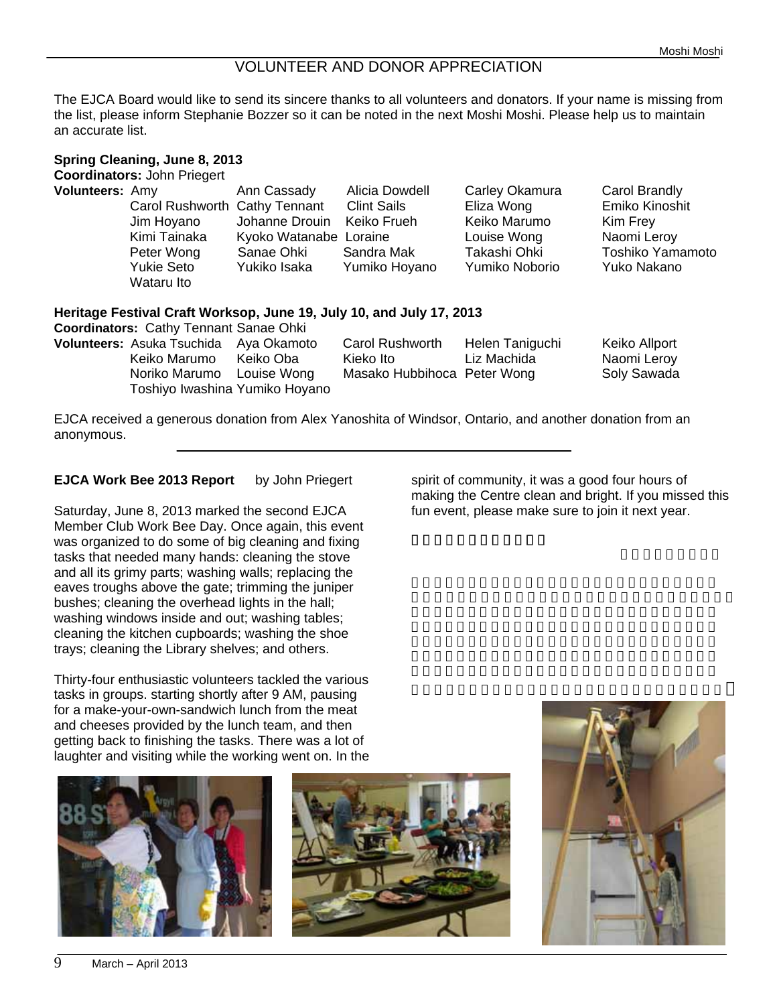## VOLUNTEER AND DONOR APPRECIATION

The EJCA Board would like to send its sincere thanks to all volunteers and donators. If your name is missing from the list, please inform Stephanie Bozzer so it can be noted in the next Moshi Moshi. Please help us to maintain an accurate list.

| Volunteers: Amy                               | Ann Cassady            | Alicia Dowdell                                                       | Carley Okamura  | Carol Brandly    |
|-----------------------------------------------|------------------------|----------------------------------------------------------------------|-----------------|------------------|
| Carol Rushworth Cathy Tennant                 |                        | <b>Clint Sails</b>                                                   | Eliza Wong      | Emiko Kinoshit   |
| Jim Hoyano                                    | Johanne Drouin         | Keiko Frueh                                                          | Keiko Marumo    | Kim Frey         |
| Kimi Tainaka                                  | Kyoko Watanabe Loraine |                                                                      | Louise Wong     | Naomi Leroy      |
| Peter Wong                                    | Sanae Ohki             | Sandra Mak                                                           | Takashi Ohki    | Toshiko Yamamoto |
| <b>Yukie Seto</b>                             | Yukiko Isaka           | Yumiko Hoyano                                                        | Yumiko Noborio  | Yuko Nakano      |
| Wataru Ito                                    |                        |                                                                      |                 |                  |
|                                               |                        | Heritage Festival Craft Worksop, June 19, July 10, and July 17, 2013 |                 |                  |
| <b>Coordinators: Cathy Tennant Sanae Ohki</b> |                        |                                                                      |                 |                  |
| Volunteers: Asuka Tsuchida Aya Okamoto        |                        | Carol Rushworth                                                      | Helen Taniguchi | Keiko Allport    |
| Keiko Marumo Keiko Oba                        |                        | Kieko Ito                                                            | Liz Machida     | Naomi Leroy      |
|                                               | Louise Wong            | Masako Hubbihoca Peter Wong                                          |                 | Soly Sawada      |
| Noriko Marumo                                 |                        |                                                                      |                 |                  |

#### **EJCA Work Bee 2013 Report** by John Priegert

anonymous.

Saturday, June 8, 2013 marked the second EJCA Member Club Work Bee Day. Once again, this event was organized to do some of big cleaning and fixing tasks that needed many hands: cleaning the stove and all its grimy parts; washing walls; replacing the eaves troughs above the gate; trimming the juniper bushes; cleaning the overhead lights in the hall; washing windows inside and out; washing tables; cleaning the kitchen cupboards; washing the shoe trays; cleaning the Library shelves; and others.

Thirty-four enthusiastic volunteers tackled the various tasks in groups. starting shortly after 9 AM, pausing for a make-your-own-sandwich lunch from the meat and cheeses provided by the lunch team, and then getting back to finishing the tasks. There was a lot of laughter and visiting while the working went on. In the







spirit of community, it was a good four hours of making the Centre clean and bright. If you missed this fun event, please make sure to join it next year.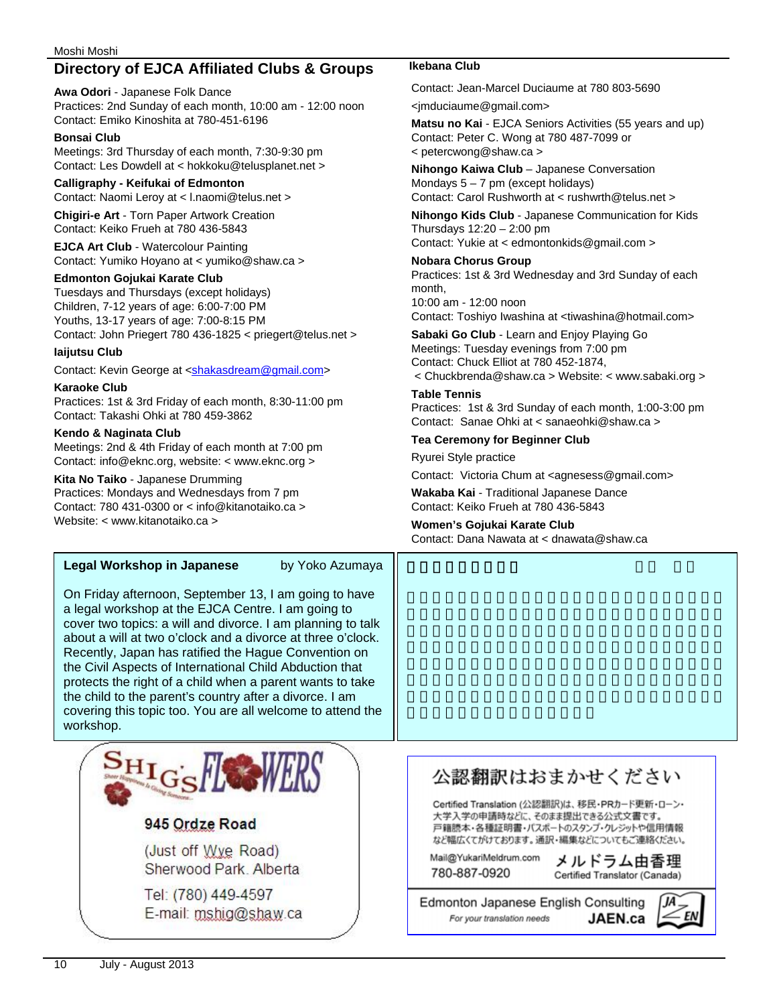## **Directory of EJCA Affiliated Clubs & Groups Ikebana Club**

**Awa Odori** - Japanese Folk Dance Practices: 2nd Sunday of each month, 10:00 am - 12:00 noon Contact: Emiko Kinoshita at 780-451-6196

#### **Bonsai Club**

Meetings: 3rd Thursday of each month, 7:30-9:30 pm Contact: Les Dowdell at < hokkoku@telusplanet.net >

#### **Calligraphy - Keifukai of Edmonton**

Contact: Naomi Leroy at < l.naomi@telus.net >

**Chigiri-e Art** - Torn Paper Artwork Creation Contact: Keiko Frueh at 780 436-5843

**EJCA Art Club** - Watercolour Painting Contact: Yumiko Hoyano at < yumiko@shaw.ca >

#### **Edmonton Gojukai Karate Club**

Tuesdays and Thursdays (except holidays) Children, 7-12 years of age: 6:00-7:00 PM Youths, 13-17 years of age: 7:00-8:15 PM Contact: John Priegert 780 436-1825 < priegert@telus.net >

#### **Iaijutsu Club**

Contact: Kevin George at <shakasdream@gmail.com>

#### **Karaoke Club**

Practices: 1st & 3rd Friday of each month, 8:30-11:00 pm Contact: Takashi Ohki at 780 459-3862

#### **Kendo & Naginata Club**

Meetings: 2nd & 4th Friday of each month at 7:00 pm Contact: info@eknc.org, website: < www.eknc.org >

#### **Kita No Taiko** - Japanese Drumming

Practices: Mondays and Wednesdays from 7 pm Contact: 780 431-0300 or < info@kitanotaiko.ca > Website: < www.kitanotaiko.ca >

## Legal Workshop in Japanese by Yoko Azumaya

On Friday afternoon, September 13, I am going to have a legal workshop at the EJCA Centre. I am going to cover two topics: a will and divorce. I am planning to talk about a will at two o'clock and a divorce at three o'clock. Recently, Japan has ratified the Hague Convention on the Civil Aspects of International Child Abduction that protects the right of a child when a parent wants to take the child to the parent's country after a divorce. I am covering this topic too. You are all welcome to attend the workshop.



## 945 Ordze Road

(Just off Wye Road) Sherwood Park. Alberta

Tel: (780) 449-4597 E-mail: mshig@shaw.ca

Contact: Jean-Marcel Duciaume at 780 803-5690

<jmduciaume@gmail.com>

**Matsu no Kai** - EJCA Seniors Activities (55 years and up) Contact: Peter C. Wong at 780 487-7099 or < petercwong@shaw.ca >

**Nihongo Kaiwa Club** – Japanese Conversation Mondays  $5 - 7$  pm (except holidays) Contact: Carol Rushworth at < rushwrth@telus.net >

**Nihongo Kids Club** - Japanese Communication for Kids Thursdays 12:20 – 2:00 pm

Contact: Yukie at < edmontonkids@gmail.com >

**Nobara Chorus Group**  Practices: 1st & 3rd Wednesday and 3rd Sunday of each month, 10:00 am - 12:00 noon

Contact: Toshiyo Iwashina at <tiwashina@hotmail.com>

**Sabaki Go Club** - Learn and Enjoy Playing Go Meetings: Tuesday evenings from 7:00 pm Contact: Chuck Elliot at 780 452-1874,

 < Chuckbrenda@shaw.ca > Website: < www.sabaki.org > **Table Tennis** 

Practices: 1st & 3rd Sunday of each month, 1:00-3:00 pm Contact: Sanae Ohki at < sanaeohki@shaw.ca >

#### **Tea Ceremony for Beginner Club**

Ryurei Style practice

Contact: Victoria Chum at <agnesess@gmail.com>

**Wakaba Kai** - Traditional Japanese Dance Contact: Keiko Frueh at 780 436-5843

**Women's Gojukai Karate Club**  Contact: Dana Nawata at < dnawata@shaw.ca

# 公認翻訳はおまかせください

Certified Translation (公認翻訳)は、移民·PRカード更新·ローン· 大学入学の申請時などに、そのまま提出できる公式文書です。 戸籍謄本・各種証明書・バスポートのスタンプ・クレジットや信用情報 など幅広くてがけております。通訳・編集などについてもご連絡ください。

Mail@YukariMeldrum.com 780-887-0920

メルドラム由香理 Certified Translator (Canada)

Edmonton Japanese English Consulting JAEN.ca For your translation needs

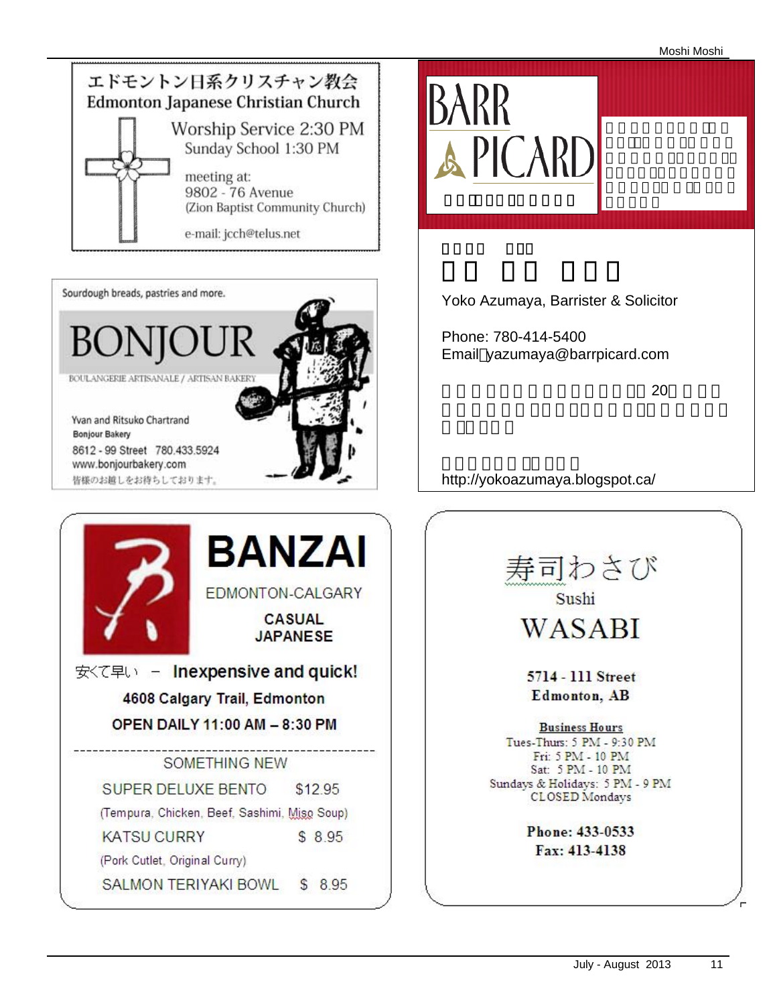Moshi Moshi









Yoko Azumaya, Barrister & Solicitor

Phone: 780-414-5400 Email yazumaya@barrpicard.com

 $\sim$  20

http://yokoazumaya.blogspot.ca/

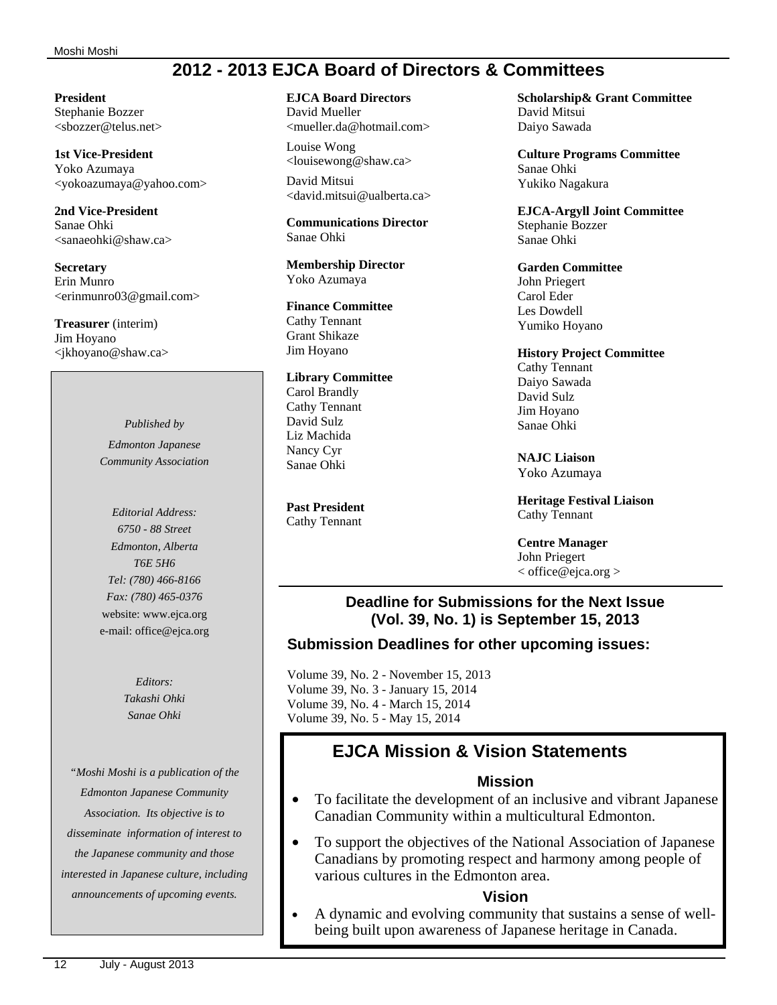#### Moshi Moshi

## **2012 - 2013 EJCA Board of Directors & Committees**

#### **President**

Stephanie Bozzer <sbozzer@telus.net>

#### **1st Vice-President**

Yoko Azumaya <yokoazumaya@yahoo.com>

#### **2nd Vice-President**  Sanae Ohki <sanaeohki@shaw.ca>

**Secretary**  Erin Munro <erinmunro03@gmail.com>

**Treasurer** (interim) Jim Hoyano <jkhoyano@shaw.ca>

> *Published by Edmonton Japanese Community Association*

*Editorial Address: 6750 - 88 Street Edmonton, Alberta T6E 5H6 Tel: (780) 466-8166 Fax: (780) 465-0376*  website: www.ejca.org e-mail: office@ejca.org

> *Editors: Takashi Ohki Sanae Ohki*

*"Moshi Moshi is a publication of the Edmonton Japanese Community Association. Its objective is to disseminate information of interest to the Japanese community and those interested in Japanese culture, including announcements of upcoming events.* 

#### **EJCA Board Directors**  David Mueller

<mueller.da@hotmail.com>

Louise Wong <louisewong@shaw.ca> David Mitsui <david.mitsui@ualberta.ca>

**Communications Director**  Sanae Ohki

**Membership Director**  Yoko Azumaya

**Finance Committee**  Cathy Tennant Grant Shikaze Jim Hoyano

#### **Library Committee** Carol Brandly Cathy Tennant David Sulz Liz Machida Nancy Cyr

**Past President**  Cathy Tennant

Sanae Ohki

**Scholarship& Grant Committee**  David Mitsui Daiyo Sawada

**Culture Programs Committee**  Sanae Ohki Yukiko Nagakura

**EJCA-Argyll Joint Committee**  Stephanie Bozzer Sanae Ohki

## **Garden Committee**

John Priegert Carol Eder Les Dowdell Yumiko Hoyano

#### **History Project Committee**

Cathy Tennant Daiyo Sawada David Sulz Jim Hoyano Sanae Ohki

**NAJC Liaison** Yoko Azumaya

**Heritage Festival Liaison** Cathy Tennant

**Centre Manager** John Priegert < office@ejca.org >

## **Deadline for Submissions for the Next Issue (Vol. 39, No. 1) is September 15, 2013**

## **Submission Deadlines for other upcoming issues:**

Volume 39, No. 2 - November 15, 2013 Volume 39, No. 3 - January 15, 2014 Volume 39, No. 4 - March 15, 2014 Volume 39, No. 5 - May 15, 2014

## **EJCA Mission & Vision Statements**

#### **Mission**

- To facilitate the development of an inclusive and vibrant Japanese Canadian Community within a multicultural Edmonton.
- To support the objectives of the National Association of Japanese Canadians by promoting respect and harmony among people of various cultures in the Edmonton area.

#### **Vision**

• A dynamic and evolving community that sustains a sense of wellbeing built upon awareness of Japanese heritage in Canada.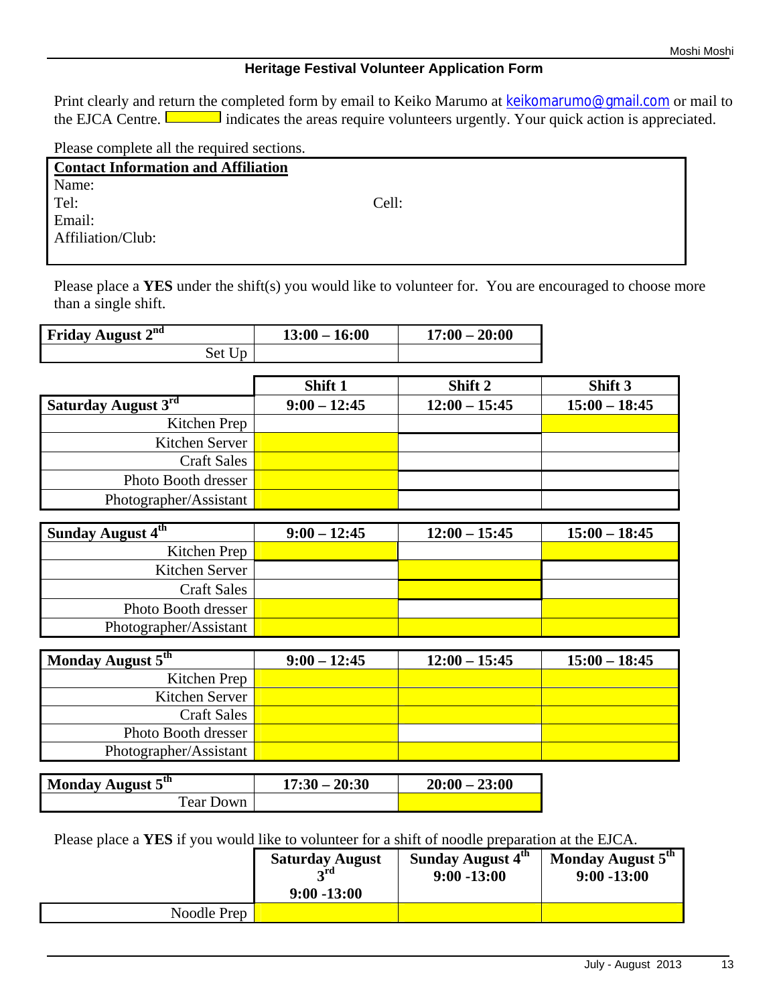## **Heritage Festival Volunteer Application Form**

Print clearly and return the completed form by email to Keiko Marumo at keikomarumo@gmail.com or mail to the EJCA Centre.  $\Box$  indicates the areas require volunteers urgently. Your quick action is appreciated.

Please complete all the required sections.

| <b>Contact Information and Affiliation</b> |       |
|--------------------------------------------|-------|
| Name:                                      |       |
| Tel:                                       | Cell: |
| Email:                                     |       |
| Affiliation/Club:                          |       |

Please place a **YES** under the shift(s) you would like to volunteer for. You are encouraged to choose more than a single shift.

| Friday August 2 <sup>nd</sup> | $13:00 - 16:00$ | $17:00 - 20:00$ |
|-------------------------------|-----------------|-----------------|
| Set Up                        |                 |                 |

|                            | Shift 1        | Shift 2         | Shift 3         |
|----------------------------|----------------|-----------------|-----------------|
| <b>Saturday August 3rd</b> | $9:00 - 12:45$ | $12:00 - 15:45$ | $15:00 - 18:45$ |
| Kitchen Prep               |                |                 |                 |
| Kitchen Server             |                |                 |                 |
| <b>Craft Sales</b>         |                |                 |                 |
| Photo Booth dresser        |                |                 |                 |
| Photographer/Assistant     |                |                 |                 |

| Sunday August 4th      | $9:00 - 12:45$ | $12:00 - 15:45$ | $15:00 - 18:45$ |
|------------------------|----------------|-----------------|-----------------|
| Kitchen Prep           |                |                 |                 |
| Kitchen Server         |                |                 |                 |
| <b>Craft Sales</b>     |                |                 |                 |
| Photo Booth dresser    |                |                 |                 |
| Photographer/Assistant |                |                 |                 |

| Monday August 5 <sup>th</sup> | $9:00 - 12:45$ | $12:00 - 15:45$ | $15:00 - 18:45$ |
|-------------------------------|----------------|-----------------|-----------------|
| Kitchen Prep                  |                |                 |                 |
| Kitchen Server                |                |                 |                 |
| <b>Craft Sales</b>            |                |                 |                 |
| Photo Booth dresser           |                |                 |                 |
| Photographer/Assistant        |                |                 |                 |

| Monday August 5 <sup>th</sup> | $17:30 - 20:30$ | $20:00 - 23:00$ |
|-------------------------------|-----------------|-----------------|
| Tear Down                     |                 |                 |

Please place a **YES** if you would like to volunteer for a shift of noodle preparation at the EJCA.

|             | <b>Saturday August</b><br>∽rd<br>$9:00 - 13:00$ | Sunday August 4 <sup>th</sup><br>$9:00 - 13:00$ | Monday August 5 <sup>th</sup><br>$9:00 - 13:00$ |
|-------------|-------------------------------------------------|-------------------------------------------------|-------------------------------------------------|
| Noodle Prep |                                                 |                                                 |                                                 |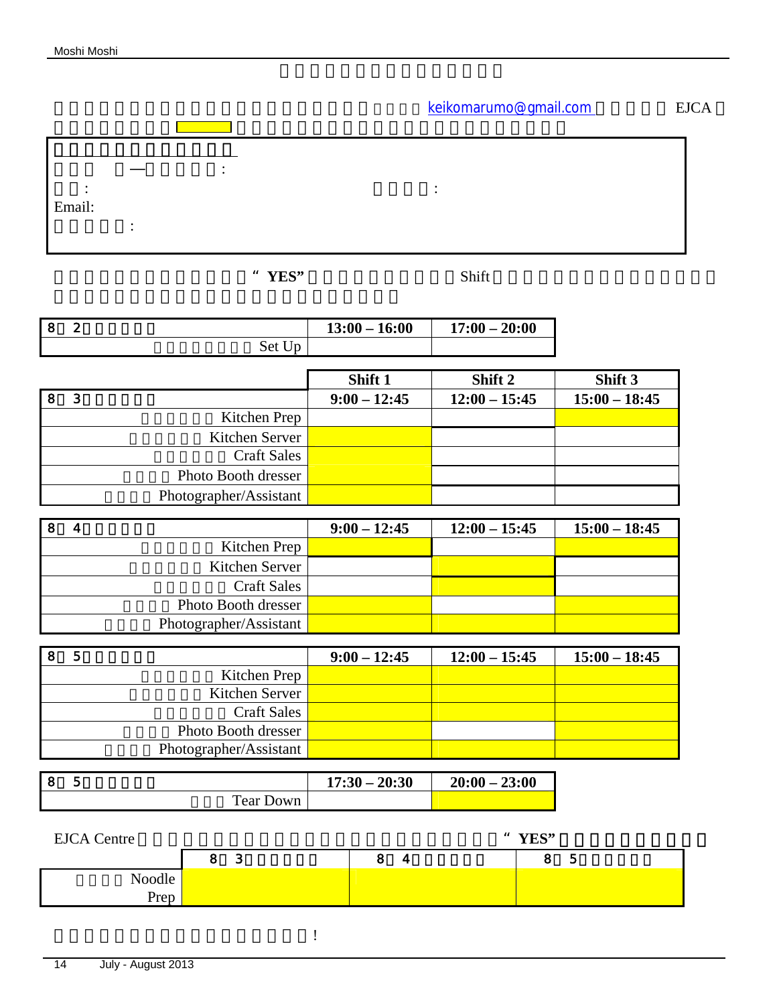keikomarumo@gmail.com EJCA

お送りください。 はちじゅう しょうしょう しょうしょうしょう しょうしょうしょう  $\mathcal{L}(\mathcal{L}(\mathcal{L}(\mathcal{L}(\mathcal{L}(\mathcal{L}(\mathcal{L}(\mathcal{L}(\mathcal{L}(\mathcal{L}(\mathcal{L}(\mathcal{L}(\mathcal{L}(\mathcal{L}(\mathcal{L}(\mathcal{L}(\mathcal{L}(\mathcal{L}(\mathcal{L}(\mathcal{L}(\mathcal{L}(\mathcal{L}(\mathcal{L}(\mathcal{L}(\mathcal{L}(\mathcal{L}(\mathcal{L}(\mathcal{L}(\mathcal{L}(\mathcal{L}(\mathcal{L}(\mathcal{L}(\mathcal{L}(\mathcal{L}(\mathcal{L}(\mathcal{L}(\mathcal{$ 名前(英語―ローマ字): 電話: 携帯電話: Email: 所属クラブ:

**EXTEM**  $YES"$  Shift  $YES"$ 

| 8 | $\boldsymbol{2}$        |                        | $13:00 - 16:00$ | $17:00 - 20:00$ |                 |
|---|-------------------------|------------------------|-----------------|-----------------|-----------------|
|   |                         | Set Up                 |                 |                 |                 |
|   |                         |                        | Shift 1         | Shift 2         | Shift 3         |
| 8 | 3                       |                        | $9:00 - 12:45$  | $12:00 - 15:45$ | $15:00 - 18:45$ |
|   |                         | Kitchen Prep           |                 |                 |                 |
|   |                         | Kitchen Server         |                 |                 |                 |
|   |                         | <b>Craft Sales</b>     |                 |                 |                 |
|   |                         | Photo Booth dresser    |                 |                 |                 |
|   |                         | Photographer/Assistant |                 |                 |                 |
|   |                         |                        |                 |                 |                 |
| 8 | $\overline{\mathbf{4}}$ |                        | $9:00 - 12:45$  | $12:00 - 15:45$ | $15:00 - 18:45$ |
|   |                         | Kitchen Prep           |                 |                 |                 |
|   |                         | Kitchen Server         |                 |                 |                 |
|   |                         | <b>Craft Sales</b>     |                 |                 |                 |
|   |                         | Photo Booth dresser    |                 |                 |                 |
|   |                         | Photographer/Assistant |                 |                 |                 |
|   |                         |                        |                 |                 |                 |
| 8 | $\overline{5}$          |                        | $9:00 - 12:45$  | $12:00 - 15:45$ | $15:00 - 18:45$ |
|   |                         | $T^{\prime}$ 1 m       |                 |                 |                 |

| 5                          | $9:00 - 12:45$ | $12:00 - 15:45$ | $15:00 - 18:45$ |
|----------------------------|----------------|-----------------|-----------------|
| Kitchen Prep               |                |                 |                 |
| Kitchen Server             |                |                 |                 |
| <b>Craft Sales</b>         |                |                 |                 |
| <b>Photo Booth dresser</b> |                |                 |                 |
| Photographer/Assistant     |                |                 |                 |

| l 8 |           | $17:30 - 20:30$ | $20:00 - 23:00$ |
|-----|-----------|-----------------|-----------------|
|     | Tear Down |                 |                 |

| <b>EJCA</b> Centre |        | " YES" |          |  |
|--------------------|--------|--------|----------|--|
|                    | c<br>ഄ | 4      | <b>J</b> |  |
| Noodle             |        |        |          |  |
| Prep               |        |        |          |  |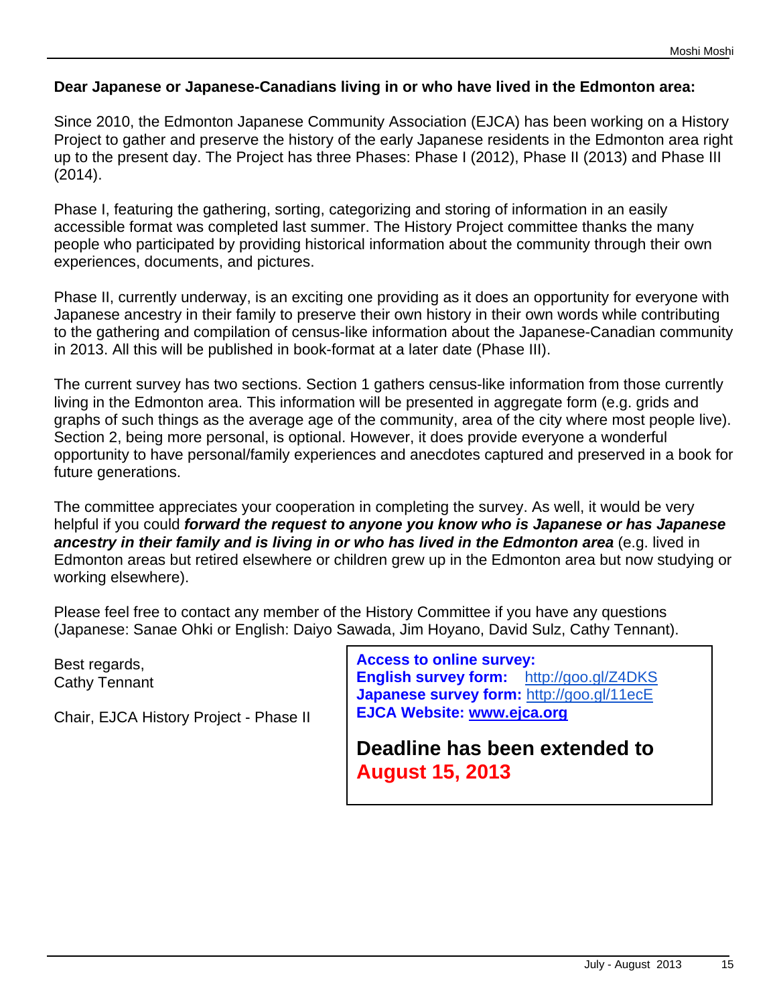## **Dear Japanese or Japanese-Canadians living in or who have lived in the Edmonton area:**

Since 2010, the Edmonton Japanese Community Association (EJCA) has been working on a History Project to gather and preserve the history of the early Japanese residents in the Edmonton area right up to the present day. The Project has three Phases: Phase I (2012), Phase II (2013) and Phase III (2014).

Phase I, featuring the gathering, sorting, categorizing and storing of information in an easily accessible format was completed last summer. The History Project committee thanks the many people who participated by providing historical information about the community through their own experiences, documents, and pictures.

Phase II, currently underway, is an exciting one providing as it does an opportunity for everyone with Japanese ancestry in their family to preserve their own history in their own words while contributing to the gathering and compilation of census-like information about the Japanese-Canadian community in 2013. All this will be published in book-format at a later date (Phase III).

The current survey has two sections. Section 1 gathers census-like information from those currently living in the Edmonton area. This information will be presented in aggregate form (e.g. grids and graphs of such things as the average age of the community, area of the city where most people live). Section 2, being more personal, is optional. However, it does provide everyone a wonderful opportunity to have personal/family experiences and anecdotes captured and preserved in a book for future generations.

The committee appreciates your cooperation in completing the survey. As well, it would be very helpful if you could *forward the request to anyone you know who is Japanese or has Japanese ancestry in their family and is living in or who has lived in the Edmonton area* (e.g. lived in Edmonton areas but retired elsewhere or children grew up in the Edmonton area but now studying or working elsewhere).

Please feel free to contact any member of the History Committee if you have any questions (Japanese: Sanae Ohki or English: Daiyo Sawada, Jim Hoyano, David Sulz, Cathy Tennant).

Best regards, Cathy Tennant

Chair, EJCA History Project - Phase II

**Access to online survey: English survey form:** http://goo.gl/Z4DKS **Japanese survey form:** http://goo.gl/11ecE **EJCA Website: www.ejca.org** 

**Deadline has been extended to August 15, 2013**